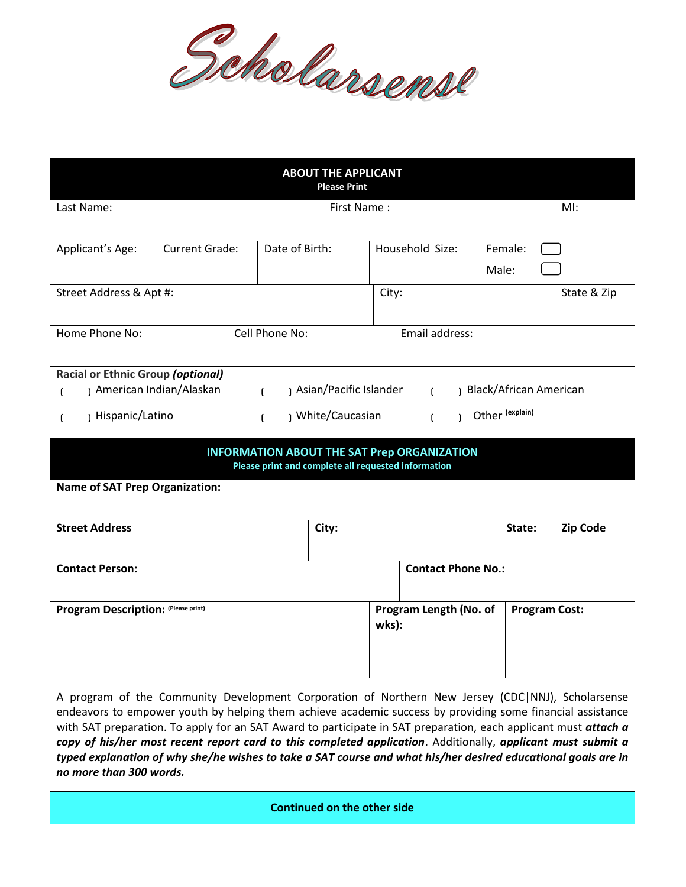

| <b>ABOUT THE APPLICANT</b><br><b>Please Print</b>                                                                                                                                                                                                                                                                                  |                       |                |                |                                                                    |                                                         |                 |                 |                  |             |
|------------------------------------------------------------------------------------------------------------------------------------------------------------------------------------------------------------------------------------------------------------------------------------------------------------------------------------|-----------------------|----------------|----------------|--------------------------------------------------------------------|---------------------------------------------------------|-----------------|-----------------|------------------|-------------|
| Last Name:                                                                                                                                                                                                                                                                                                                         |                       |                |                | First Name:                                                        |                                                         |                 |                 |                  | MI:         |
| Applicant's Age:                                                                                                                                                                                                                                                                                                                   | <b>Current Grade:</b> |                | Date of Birth: |                                                                    |                                                         | Household Size: |                 | Female:<br>Male: |             |
| Street Address & Apt #:                                                                                                                                                                                                                                                                                                            |                       |                |                |                                                                    |                                                         | City:           |                 |                  | State & Zip |
| Home Phone No:                                                                                                                                                                                                                                                                                                                     |                       | Cell Phone No: |                |                                                                    |                                                         | Email address:  |                 |                  |             |
| <b>Racial or Ethnic Group (optional)</b>                                                                                                                                                                                                                                                                                           |                       |                |                |                                                                    |                                                         |                 |                 |                  |             |
| American Indian/Alaskan<br>$\mathsf{L}$<br>$\mathfrak{g}$                                                                                                                                                                                                                                                                          |                       |                |                | ) Asian/Pacific Islander<br>Black/African American<br>$\mathbf{f}$ |                                                         |                 |                 |                  |             |
| Hispanic/Latino<br>) White/Caucasian<br>$\mathsf{L}$<br>ſ                                                                                                                                                                                                                                                                          |                       |                |                |                                                                    | $\mathbf{f}$<br>$\mathbf{I}$                            |                 | Other (explain) |                  |             |
| <b>INFORMATION ABOUT THE SAT Prep ORGANIZATION</b><br>Please print and complete all requested information                                                                                                                                                                                                                          |                       |                |                |                                                                    |                                                         |                 |                 |                  |             |
| <b>Name of SAT Prep Organization:</b>                                                                                                                                                                                                                                                                                              |                       |                |                |                                                                    |                                                         |                 |                 |                  |             |
| <b>Street Address</b>                                                                                                                                                                                                                                                                                                              |                       |                |                | City:                                                              |                                                         |                 |                 | State:           | Zip Code    |
| <b>Contact Person:</b>                                                                                                                                                                                                                                                                                                             |                       |                |                |                                                                    | <b>Contact Phone No.:</b>                               |                 |                 |                  |             |
| Program Description: (Please print)                                                                                                                                                                                                                                                                                                |                       |                |                |                                                                    | Program Length (No. of<br><b>Program Cost:</b><br>wks): |                 |                 |                  |             |
| A program of the Community Development Corporation of Northern New Jersey (CDC NNJ), Scholarsense<br>endeavors to empower youth by helping them achieve academic success by providing some financial assistance<br>with SAT preparation. To apply for an SAT Award to participate in SAT preparation, each applicant must attach a |                       |                |                |                                                                    |                                                         |                 |                 |                  |             |

*copy of his/her most recent report card to this completed application*. Additionally, *applicant must submit a typed explanation of why she/he wishes to take a SAT course and what his/her desired educational goals are in no more than 300 words.*

**Continued on the other side**